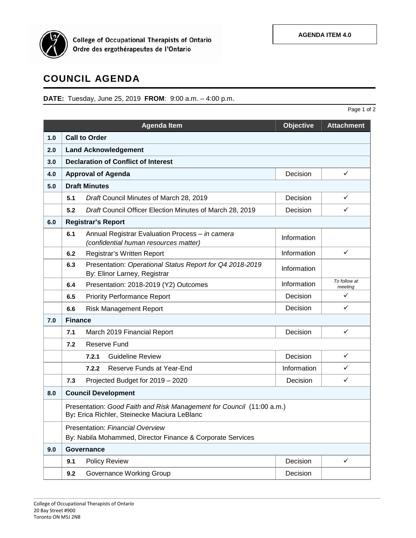

College of Occupational Therapists of Ontario<br>Ordre des ergothérapeutes de l'Ontario

## **COUNCIL AGENDA**

**DATE:** Tuesday, June 25, 2019 **FROM**: 9:00 a.m. – 4:00 p.m.

|     |                                            |                                                                                                                       |                  | Page 1 of 2             |  |  |  |
|-----|--------------------------------------------|-----------------------------------------------------------------------------------------------------------------------|------------------|-------------------------|--|--|--|
|     |                                            | <b>Agenda Item</b>                                                                                                    | <b>Objective</b> | <b>Attachment</b>       |  |  |  |
| 1.0 | <b>Call to Order</b>                       |                                                                                                                       |                  |                         |  |  |  |
| 2.0 |                                            | <b>Land Acknowledgement</b>                                                                                           |                  |                         |  |  |  |
| 3.0 | <b>Declaration of Conflict of Interest</b> |                                                                                                                       |                  |                         |  |  |  |
| 4.0 | ✓<br><b>Approval of Agenda</b><br>Decision |                                                                                                                       |                  |                         |  |  |  |
| 5.0 | <b>Draft Minutes</b>                       |                                                                                                                       |                  |                         |  |  |  |
|     | 5.1                                        | Draft Council Minutes of March 28, 2019                                                                               | Decision         | ✓                       |  |  |  |
|     | 5.2                                        | Draft Council Officer Election Minutes of March 28, 2019                                                              | Decision         | ✓                       |  |  |  |
| 6.0 | <b>Registrar's Report</b>                  |                                                                                                                       |                  |                         |  |  |  |
|     | 6.1                                        | Annual Registrar Evaluation Process - in camera<br>(confidential human resources matter)                              | Information      |                         |  |  |  |
|     | 6.2                                        | Registrar's Written Report                                                                                            | Information      | $\checkmark$            |  |  |  |
|     | 6.3                                        | Presentation: Operational Status Report for Q4 2018-2019<br>By: Elinor Larney, Registrar                              | Information      |                         |  |  |  |
|     | 6.4                                        | Presentation: 2018-2019 (Y2) Outcomes                                                                                 | Information      | To follow at<br>meeting |  |  |  |
|     | 6.5                                        | <b>Priority Performance Report</b>                                                                                    | Decision         | ✓                       |  |  |  |
|     | 6.6                                        | <b>Risk Management Report</b>                                                                                         | Decision         | ✓                       |  |  |  |
| 7.0 | <b>Finance</b>                             |                                                                                                                       |                  |                         |  |  |  |
|     | 7.1                                        | March 2019 Financial Report                                                                                           | Decision         | $\checkmark$            |  |  |  |
|     | 7.2                                        | Reserve Fund                                                                                                          |                  |                         |  |  |  |
|     |                                            | <b>Guideline Review</b><br>7.2.1                                                                                      | Decision         | $\checkmark$            |  |  |  |
|     |                                            | Reserve Funds at Year-End<br>7.2.2                                                                                    | Information      | ✓                       |  |  |  |
|     | 7.3                                        | Projected Budget for 2019 - 2020                                                                                      | Decision         | ✓                       |  |  |  |
| 8.0 |                                            | <b>Council Development</b>                                                                                            |                  |                         |  |  |  |
|     |                                            | Presentation: Good Faith and Risk Management for Council (11:00 a.m.)<br>By: Erica Richler, Steinecke Maciura LeBlanc |                  |                         |  |  |  |
|     |                                            | <b>Presentation: Financial Overview</b><br>By: Nabila Mohammed, Director Finance & Corporate Services                 |                  |                         |  |  |  |
| 9.0 | Governance                                 |                                                                                                                       |                  |                         |  |  |  |
|     | 9.1                                        | <b>Policy Review</b>                                                                                                  | Decision         | $\checkmark$            |  |  |  |
|     | 9.2                                        | Governance Working Group                                                                                              | Decision         |                         |  |  |  |